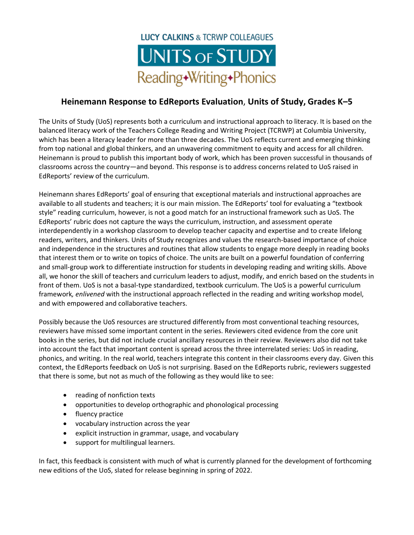## **LUCY CALKINS & TCRWP COLLEAGUES UNITS OF STUDY** Reading+Writing+Phonics

## **Heinemann Response to EdReports Evaluation**, **Units of Study, Grades K–5**

The Units of Study (UoS) represents both a curriculum and instructional approach to literacy. It is based on the balanced literacy work of the Teachers College Reading and Writing Project (TCRWP) at Columbia University, which has been a literacy leader for more than three decades. The UoS reflects current and emerging thinking from top national and global thinkers, and an unwavering commitment to equity and access for all children. Heinemann is proud to publish this important body of work, which has been proven successful in thousands of classrooms across the country—and beyond. This response is to address concerns related to UoS raised in EdReports' review of the curriculum.

Heinemann shares EdReports' goal of ensuring that exceptional materials and instructional approaches are available to all students and teachers; it is our main mission. The EdReports' tool for evaluating a "textbook style" reading curriculum, however, is not a good match for an instructional framework such as UoS. The EdReports' rubric does not capture the ways the curriculum, instruction, and assessment operate interdependently in a workshop classroom to develop teacher capacity and expertise and to create lifelong readers, writers, and thinkers. Units of Study recognizes and values the research-based importance of choice and independence in the structures and routines that allow students to engage more deeply in reading books that interest them or to write on topics of choice. The units are built on a powerful foundation of conferring and small-group work to differentiate instruction for students in developing reading and writing skills. Above all, we honor the skill of teachers and curriculum leaders to adjust, modify, and enrich based on the students in front of them. UoS is not a basal-type standardized, textbook curriculum. The UoS is a powerful curriculum framework*, enlivened* with the instructional approach reflected in the reading and writing workshop model, and with empowered and collaborative teachers.

Possibly because the UoS resources are structured differently from most conventional teaching resources, reviewers have missed some important content in the series. Reviewers cited evidence from the core unit books in the series, but did not include crucial ancillary resources in their review. Reviewers also did not take into account the fact that important content is spread across the three interrelated series: UoS in reading, phonics, and writing. In the real world, teachers integrate this content in their classrooms every day. Given this context, the EdReports feedback on UoS is not surprising. Based on the EdReports rubric, reviewers suggested that there is some, but not as much of the following as they would like to see:

- reading of nonfiction texts
- opportunities to develop orthographic and phonological processing
- fluency practice
- vocabulary instruction across the year
- explicit instruction in grammar, usage, and vocabulary
- support for multilingual learners.

In fact, this feedback is consistent with much of what is currently planned for the development of forthcoming new editions of the UoS, slated for release beginning in spring of 2022.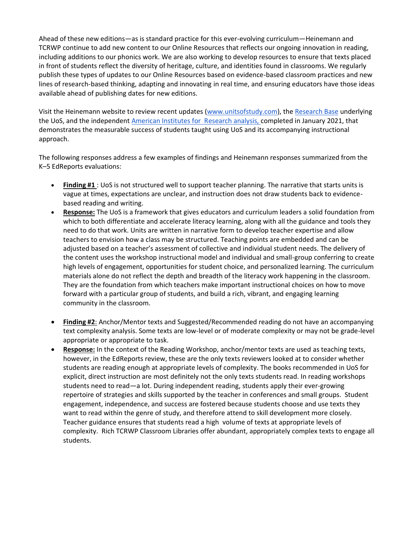Ahead of these new editions—as is standard practice for this ever-evolving curriculum—Heinemann and TCRWP continue to add new content to our Online Resources that reflects our ongoing innovation in reading, including additions to our phonics work. We are also working to develop resources to ensure that texts placed in front of students reflect the diversity of heritage, culture, and identities found in classrooms. We regularly publish these types of updates to our Online Resources based on evidence-based classroom practices and new lines of research-based thinking, adapting and innovating in real time, and ensuring educators have those ideas available ahead of publishing dates for new editions.

Visit the Heinemann website to review recent updates [\(www.unitsofstudy.com\)](http://www.unitsofstudy.com/), the [Research Base](https://www.unitsofstudy.com/research) underlying the UoS, and the independent [American Institutes for](https://drive.google.com/file/d/15VMhfJNP0pOI-LWXVG1CbHfWCBC-d65U/view) Research analysis, completed in January 2021, that demonstrates the measurable success of students taught using UoS and its accompanying instructional approach.

The following responses address a few examples of findings and Heinemann responses summarized from the K–5 EdReports evaluations: 

- **Finding #1** : UoS is not structured well to support teacher planning. The narrative that starts units is vague at times, expectations are unclear, and instruction does not draw students back to evidencebased reading and writing.
- **Response:** The UoS is a framework that gives educators and curriculum leaders a solid foundation from which to both differentiate and accelerate literacy learning, along with all the guidance and tools they need to do that work. Units are written in narrative form to develop teacher expertise and allow teachers to envision how a class may be structured. Teaching points are embedded and can be adjusted based on a teacher's assessment of collective and individual student needs. The delivery of the content uses the workshop instructional model and individual and small-group conferring to create high levels of engagement, opportunities for student choice, and personalized learning. The curriculum materials alone do not reflect the depth and breadth of the literacy work happening in the classroom. They are the foundation from which teachers make important instructional choices on how to move forward with a particular group of students, and build a rich, vibrant, and engaging learning community in the classroom.
- **Finding #2**: Anchor/Mentor texts and Suggested/Recommended reading do not have an accompanying text complexity analysis. Some texts are low-level or of moderate complexity or may not be grade-level appropriate or appropriate to task.
- **Response:** In the context of the Reading Workshop, anchor/mentor texts are used as teaching texts, however, in the EdReports review, these are the only texts reviewers looked at to consider whether students are reading enough at appropriate levels of complexity. The books recommended in UoS for explicit, direct instruction are most definitely not the only texts students read. In reading workshops students need to read—a lot. During independent reading, students apply their ever-growing repertoire of strategies and skills supported by the teacher in conferences and small groups. Student engagement, independence, and success are fostered because students choose and use texts they want to read within the genre of study, and therefore attend to skill development more closely. Teacher guidance ensures that students read a high volume of texts at appropriate levels of complexity. Rich TCRWP Classroom Libraries offer abundant, appropriately complex texts to engage all students.